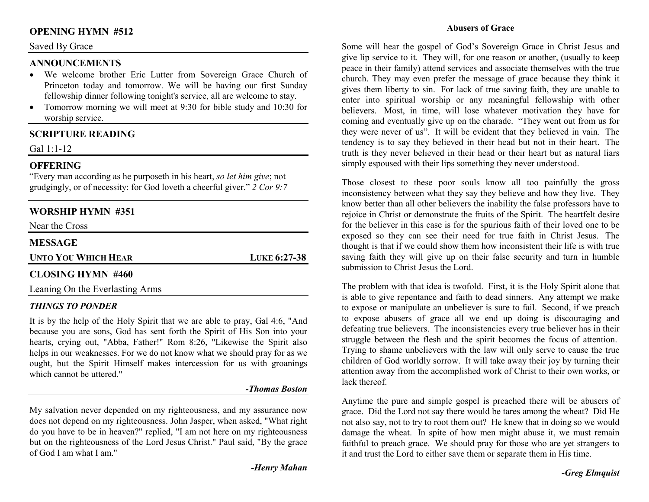# **OPENING HYMN #512**

#### Saved By Grace

### **ANNOUNCEMENTS**

- We welcome brother Eric Lutter from Sovereign Grace Church of Princeton today and tomorrow. We will be having our first Sunday fellowship dinner following tonight's service, all are welcome to stay.
- Tomorrow morning we will meet at 9:30 for bible study and 10:30 for •worship service.

### **SCRIPTURE READING**

Gal 1:1-12

## **OFFERING**

 "Every man according as he purposeth in his heart, *so let him give*; not grudgingly, or of necessity: for God loveth a cheerful giver." *2 Cor 9:7*

## **WORSHIP HYMN #351**

Near the Cross

# **MESSAGE**

**UNTO YOU WHICH HEAR**

**LUKE 6:27-38** 

### **CLOSING HYMN #460**

Leaning On the Everlasting Arms

### *THINGS TO PONDER*

 It is by the help of the Holy Spirit that we are able to pray, Gal 4:6, "And because you are sons, God has sent forth the Spirit of His Son into your hearts, crying out, "Abba, Father!" Rom 8:26, "Likewise the Spirit also helps in our weaknesses. For we do not know what we should pray for as we ought, but the Spirit Himself makes intercession for us with groanings which cannot be uttered."

#### *-Thomas Boston*

My salvation never depended on my righteousness, and my assurance now does not depend on my righteousness. John Jasper, when asked, "What right do you have to be in heaven?" replied, "I am not here on my righteousness but on the righteousness of the Lord Jesus Christ." Paul said, "By the grace of God I am what I am."

#### **Abusers of Grace**

Some will hear the gospel of God's Sovereign Grace in Christ Jesus and give lip service to it. They will, for one reason or another, (usually to keep peace in their family) attend services and associate themselves with the true church. They may even prefer the message of grace because they think it gives them liberty to sin. For lack of true saving faith, they are unable to enter into spiritual worship or any meaningful fellowship with other believers. Most, in time, will lose whatever motivation they have for coming and eventually give up on the charade. "They went out from us for they were never of us". It will be evident that they believed in vain. The tendency is to say they believed in their head but not in their heart. The truth is they never believed in their head or their heart but as natural liars simply espoused with their lips something they never understood.

Those closest to these poor souls know all too painfully the gross inconsistency between what they say they believe and how they live. They know better than all other believers the inability the false professors have to rejoice in Christ or demonstrate the fruits of the Spirit. The heartfelt desire for the believer in this case is for the spurious faith of their loved one to be exposed so they can see their need for true faith in Christ Jesus. The thought is that if we could show them how inconsistent their life is with true saving faith they will give up on their false security and turn in humble submission to Christ Jesus the Lord.

The problem with that idea is twofold. First, it is the Holy Spirit alone that is able to give repentance and faith to dead sinners. Any attempt we make to expose or manipulate an unbeliever is sure to fail. Second, if we preach to expose abusers of grace all we end up doing is discouraging and defeating true believers. The inconsistencies every true believer has in their struggle between the flesh and the spirit becomes the focus of attention. Trying to shame unbelievers with the law will only serve to cause the true children of God worldly sorrow. It will take away their joy by turning their attention away from the accomplished work of Christ to their own works, or lack thereof

Anytime the pure and simple gospel is preached there will be abusers of grace. Did the Lord not say there would be tares among the wheat? Did He not also say, not to try to root them out? He knew that in doing so we would damage the wheat. In spite of how men might abuse it, we must remain faithful to preach grace. We should pray for those who are yet strangers to it and trust the Lord to either save them or separate them in His time.